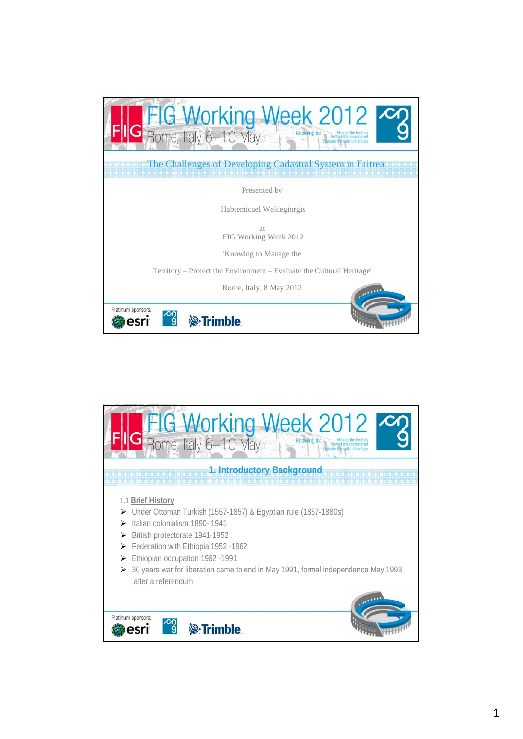

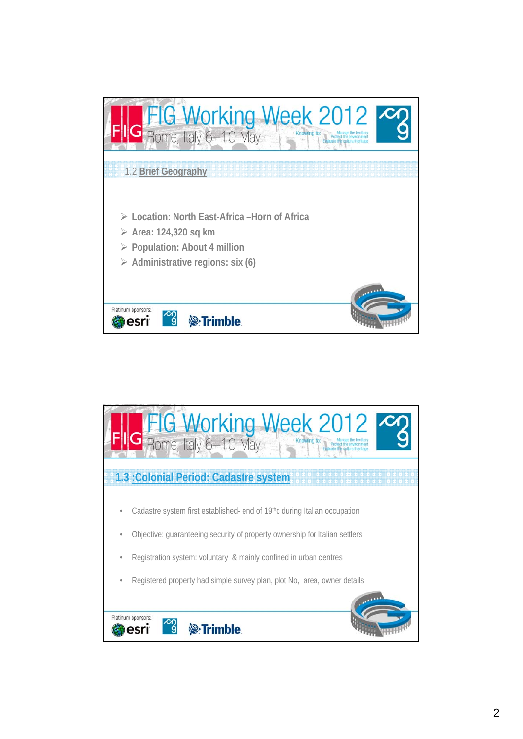

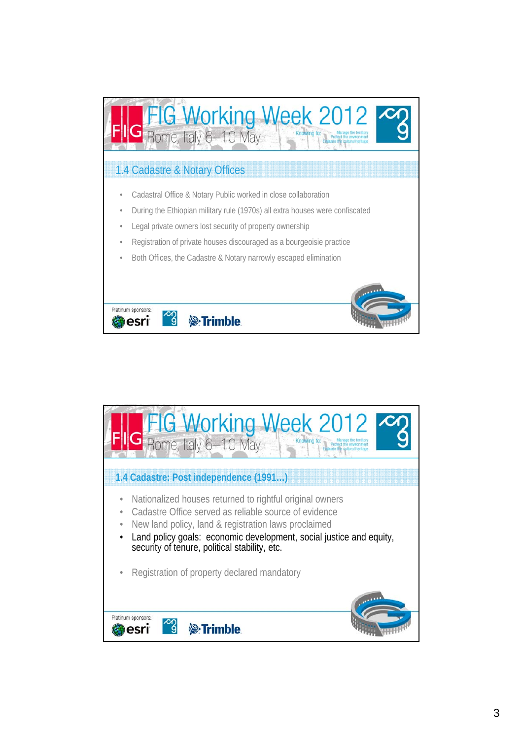

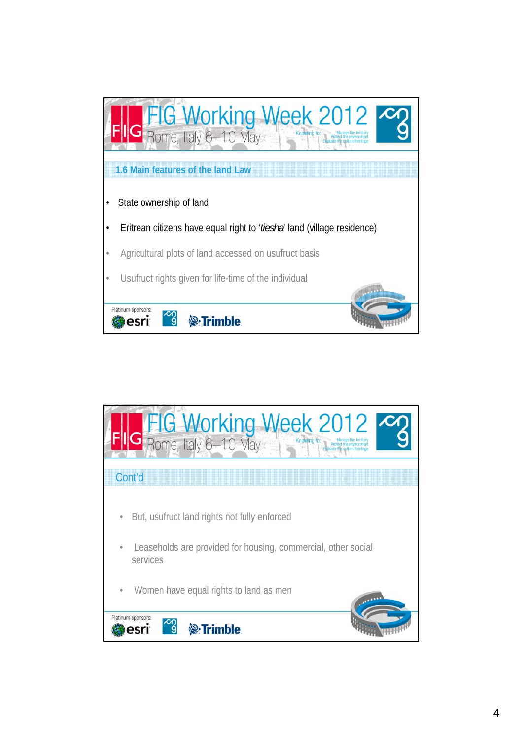

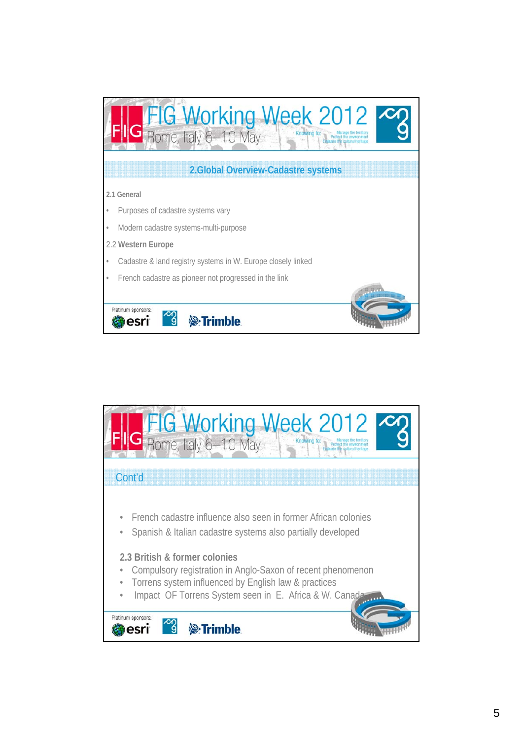

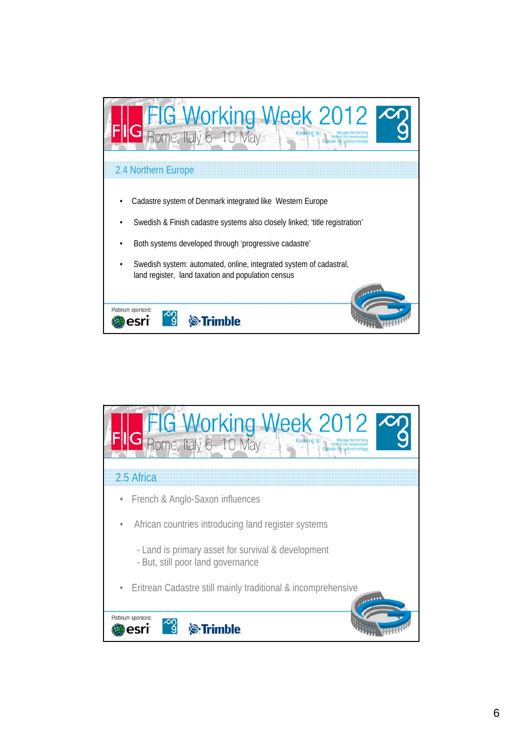

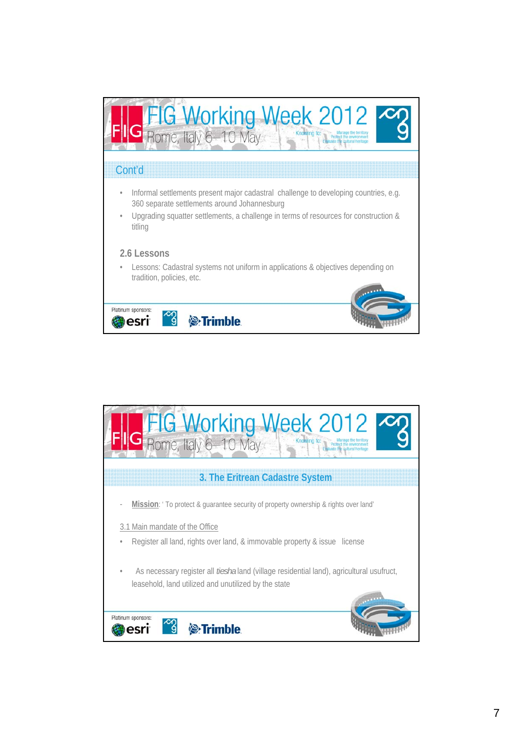

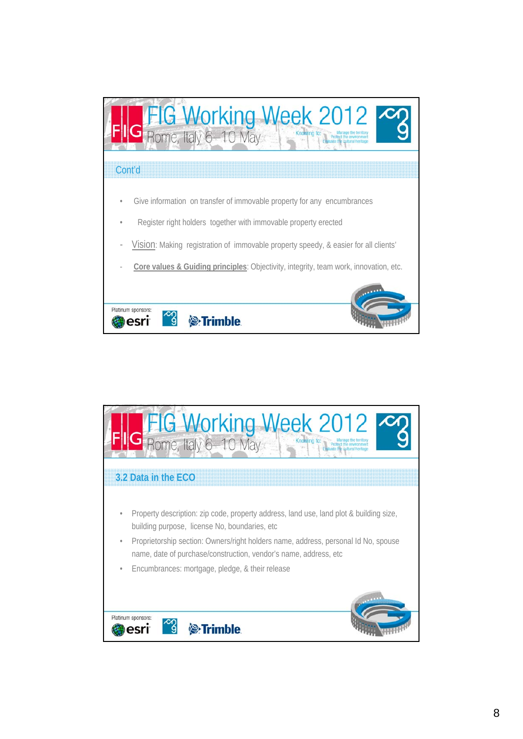

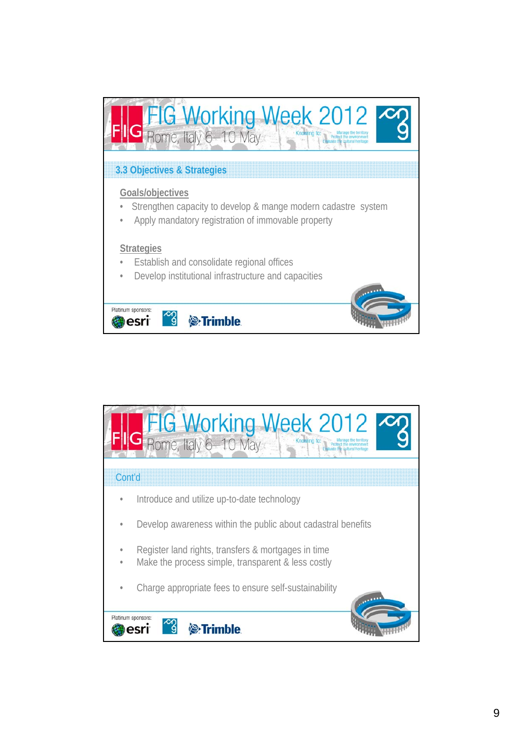

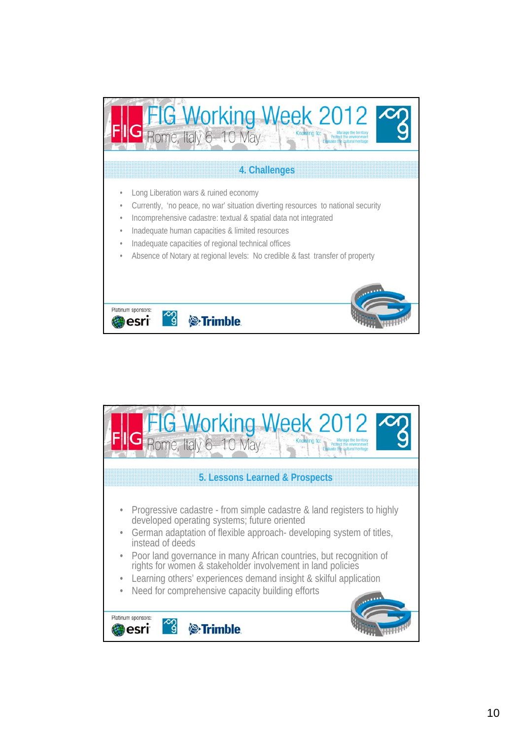